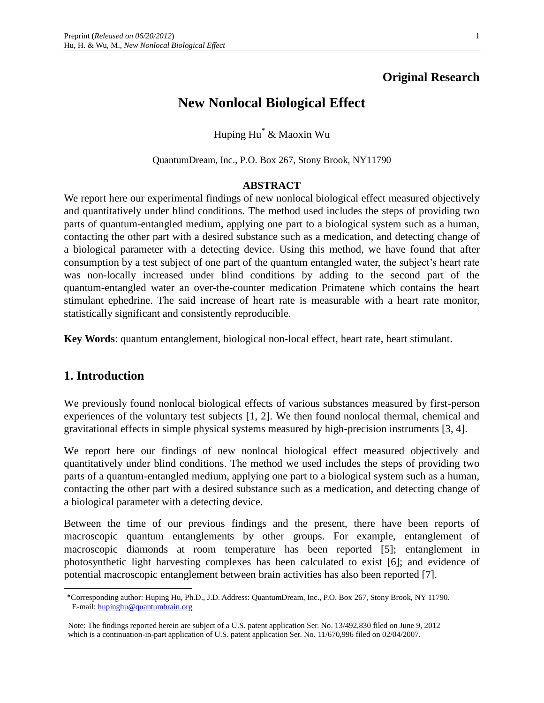## **Original Research**

# **New Nonlocal Biological Effect**

Huping Hu\* & Maoxin Wu

QuantumDream, Inc., P.O. Box 267, Stony Brook, NY11790

#### **ABSTRACT**

We report here our experimental findings of new nonlocal biological effect measured objectively and quantitatively under blind conditions. The method used includes the steps of providing two parts of quantum-entangled medium, applying one part to a biological system such as a human, contacting the other part with a desired substance such as a medication, and detecting change of a biological parameter with a detecting device. Using this method, we have found that after consumption by a test subject of one part of the quantum entangled water, the subject's heart rate was non-locally increased under blind conditions by adding to the second part of the quantum-entangled water an over-the-counter medication Primatene which contains the heart stimulant ephedrine. The said increase of heart rate is measurable with a heart rate monitor, statistically significant and consistently reproducible.

**Key Words**: quantum entanglement, biological non-local effect, heart rate, heart stimulant.

### **1. Introduction**

 $\overline{a}$ 

We previously found nonlocal biological effects of various substances measured by first-person experiences of the voluntary test subjects [1, 2]. We then found nonlocal thermal, chemical and gravitational effects in simple physical systems measured by high-precision instruments [3, 4].

We report here our findings of new nonlocal biological effect measured objectively and quantitatively under blind conditions. The method we used includes the steps of providing two parts of a quantum-entangled medium, applying one part to a biological system such as a human, contacting the other part with a desired substance such as a medication, and detecting change of a biological parameter with a detecting device.

Between the time of our previous findings and the present, there have been reports of macroscopic quantum entanglements by other groups. For example, entanglement of macroscopic diamonds at room temperature has been reported [5]; entanglement in photosynthetic light harvesting complexes has been calculated to exist [6]; and evidence of potential macroscopic entanglement between brain activities has also been reported [7].

\*Corresponding author: Huping Hu, Ph.D., J.D. Address: QuantumDream, Inc., P.O. Box 267, Stony Brook, NY 11790. E-mail: [hupinghu@quantumbrain.org](mailto:hupinghu@quantumbrain.org) 

Note: The findings reported herein are subject of a U.S. patent application Ser. No. 13/492,830 filed on June 9, 2012 which is a continuation-in-part application of U.S. patent application Ser. No.  $11/670,996$  filed on 02/04/2007.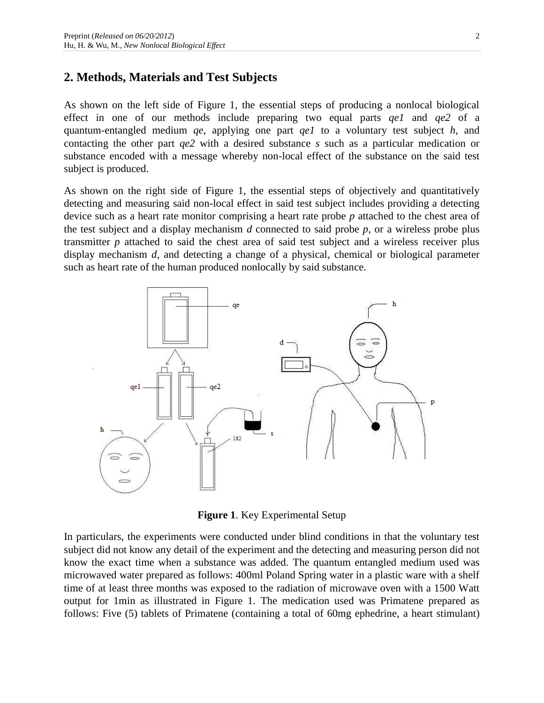## **2. Methods, Materials and Test Subjects**

As shown on the left side of Figure 1, the essential steps of producing a nonlocal biological effect in one of our methods include preparing two equal parts *qe1* and *qe2* of a quantum-entangled medium *qe*, applying one part *qe1* to a voluntary test subject *h*, and contacting the other part *qe2* with a desired substance *s* such as a particular medication or substance encoded with a message whereby non-local effect of the substance on the said test subject is produced.

As shown on the right side of Figure 1, the essential steps of objectively and quantitatively detecting and measuring said non-local effect in said test subject includes providing a detecting device such as a heart rate monitor comprising a heart rate probe *p* attached to the chest area of the test subject and a display mechanism *d* connected to said probe *p*, or a wireless probe plus transmitter *p* attached to said the chest area of said test subject and a wireless receiver plus display mechanism *d*, and detecting a change of a physical, chemical or biological parameter such as heart rate of the human produced nonlocally by said substance.



**Figure 1**. Key Experimental Setup

In particulars, the experiments were conducted under blind conditions in that the voluntary test subject did not know any detail of the experiment and the detecting and measuring person did not know the exact time when a substance was added. The quantum entangled medium used was microwaved water prepared as follows: 400ml Poland Spring water in a plastic ware with a shelf time of at least three months was exposed to the radiation of microwave oven with a 1500 Watt output for 1min as illustrated in Figure 1. The medication used was Primatene prepared as follows: Five (5) tablets of Primatene (containing a total of 60mg ephedrine, a heart stimulant)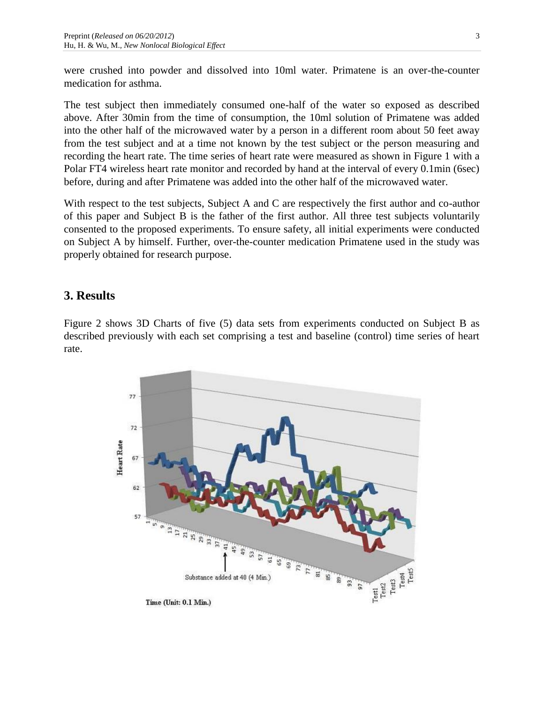were crushed into powder and dissolved into 10ml water. Primatene is an over-the-counter medication for asthma.

The test subject then immediately consumed one-half of the water so exposed as described above. After 30min from the time of consumption, the 10ml solution of Primatene was added into the other half of the microwaved water by a person in a different room about 50 feet away from the test subject and at a time not known by the test subject or the person measuring and recording the heart rate. The time series of heart rate were measured as shown in Figure 1 with a Polar FT4 wireless heart rate monitor and recorded by hand at the interval of every 0.1min (6sec) before, during and after Primatene was added into the other half of the microwaved water.

With respect to the test subjects, Subject A and C are respectively the first author and co-author of this paper and Subject B is the father of the first author. All three test subjects voluntarily consented to the proposed experiments. To ensure safety, all initial experiments were conducted on Subject A by himself. Further, over-the-counter medication Primatene used in the study was properly obtained for research purpose.

### **3. Results**

Figure 2 shows 3D Charts of five (5) data sets from experiments conducted on Subject B as described previously with each set comprising a test and baseline (control) time series of heart rate.

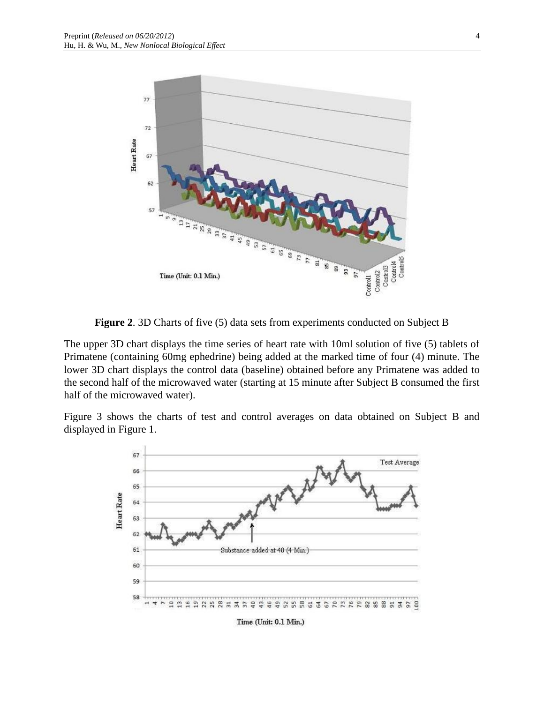

**Figure 2**. 3D Charts of five (5) data sets from experiments conducted on Subject B

The upper 3D chart displays the time series of heart rate with 10ml solution of five (5) tablets of Primatene (containing 60mg ephedrine) being added at the marked time of four (4) minute. The lower 3D chart displays the control data (baseline) obtained before any Primatene was added to the second half of the microwaved water (starting at 15 minute after Subject B consumed the first half of the microwaved water).

Figure 3 shows the charts of test and control averages on data obtained on Subject B and displayed in Figure 1.

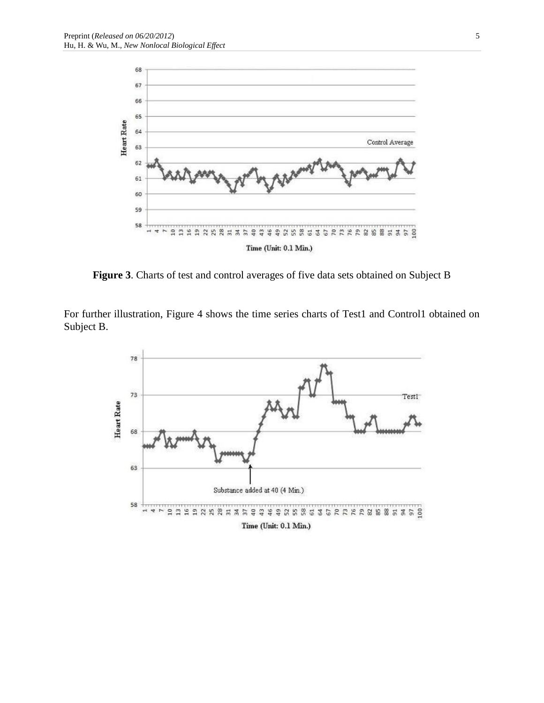

**Figure 3**. Charts of test and control averages of five data sets obtained on Subject B

For further illustration, Figure 4 shows the time series charts of Test1 and Control1 obtained on Subject B.

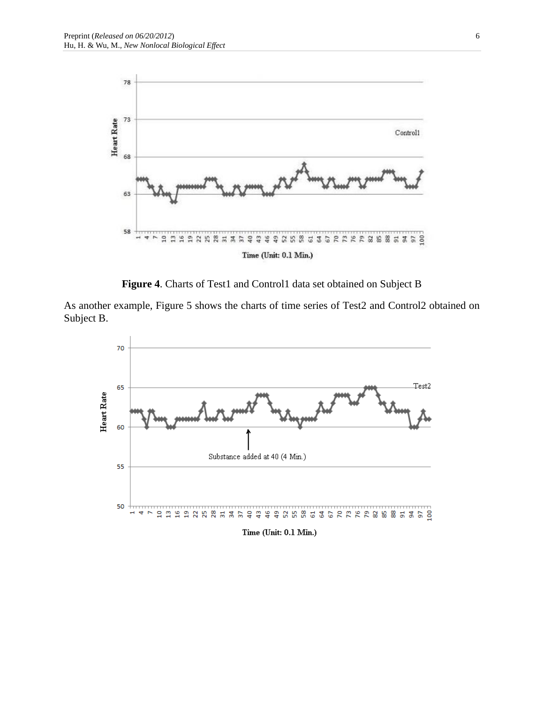

**Figure 4**. Charts of Test1 and Control1 data set obtained on Subject B

As another example, Figure 5 shows the charts of time series of Test2 and Control2 obtained on Subject B.

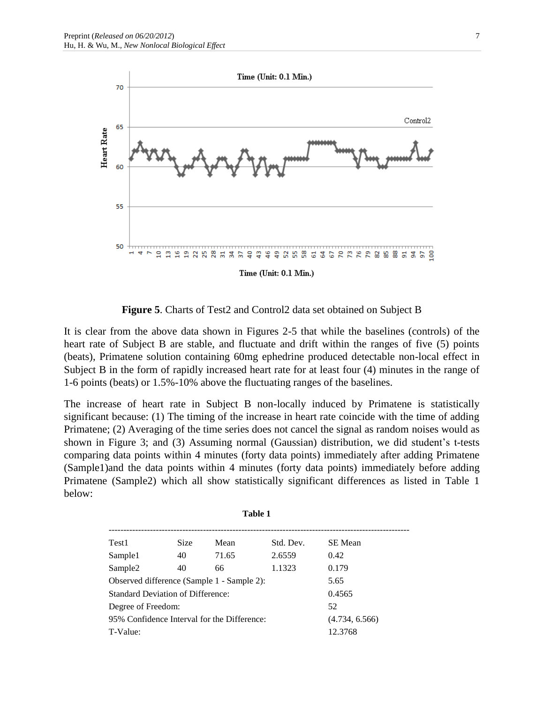

**Figure 5**. Charts of Test2 and Control2 data set obtained on Subject B

It is clear from the above data shown in Figures 2-5 that while the baselines (controls) of the heart rate of Subject B are stable, and fluctuate and drift within the ranges of five (5) points (beats), Primatene solution containing 60mg ephedrine produced detectable non-local effect in Subject B in the form of rapidly increased heart rate for at least four (4) minutes in the range of 1-6 points (beats) or 1.5%-10% above the fluctuating ranges of the baselines.

The increase of heart rate in Subject B non-locally induced by Primatene is statistically significant because: (1) The timing of the increase in heart rate coincide with the time of adding Primatene; (2) Averaging of the time series does not cancel the signal as random noises would as shown in Figure 3; and (3) Assuming normal (Gaussian) distribution, we did student's t-tests comparing data points within 4 minutes (forty data points) immediately after adding Primatene (Sample1)and the data points within 4 minutes (forty data points) immediately before adding Primatene (Sample2) which all show statistically significant differences as listed in Table 1 below:

| Test1                                       | <b>Size</b> | Mean           | Std. Dev. | <b>SE</b> Mean |  |
|---------------------------------------------|-------------|----------------|-----------|----------------|--|
| Sample1                                     | 40          | 71.65          | 2.6559    | 0.42           |  |
| Sample <sub>2</sub>                         | 40          | 66             | 1.1323    | 0.179          |  |
| Observed difference (Sample 1 - Sample 2):  |             | 5.65           |           |                |  |
| <b>Standard Deviation of Difference:</b>    |             | 0.4565         |           |                |  |
| Degree of Freedom:                          |             | 52             |           |                |  |
| 95% Confidence Interval for the Difference: |             | (4.734, 6.566) |           |                |  |
| T-Value:                                    |             |                |           | 12.3768        |  |

**Table 1**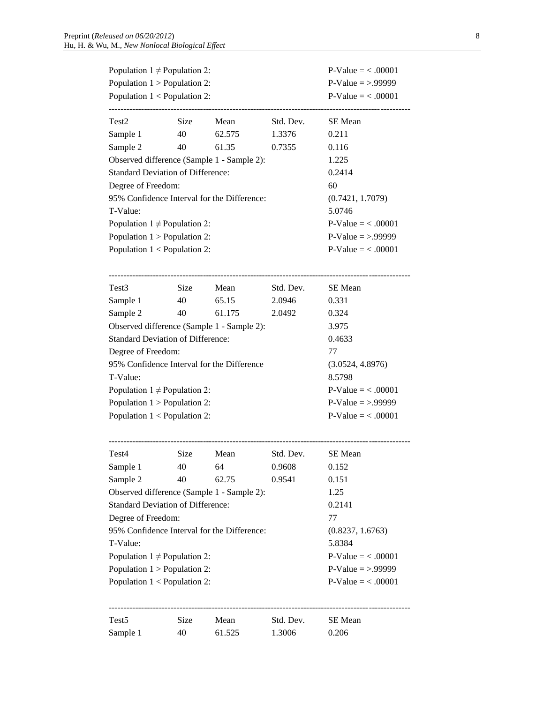| Population $1 \neq$ Population 2:                                |         | $P-Value = <.00001$                                   |           |                                                                                 |
|------------------------------------------------------------------|---------|-------------------------------------------------------|-----------|---------------------------------------------------------------------------------|
| Population $1 >$ Population 2:<br>Population $1 <$ Population 2: |         |                                                       |           | P-Value $=$ > 99999.<br>$P-Value = < .00001$                                    |
|                                                                  |         |                                                       |           |                                                                                 |
| Sample 1                                                         | 40 — 20 | 62.575                                                | 1.3376    | 0.211                                                                           |
| Sample 2                                                         | 40 — 20 | 0.116                                                 |           |                                                                                 |
| Observed difference (Sample 1 - Sample 2):                       |         | 1.225                                                 |           |                                                                                 |
| <b>Standard Deviation of Difference:</b>                         |         | 0.2414                                                |           |                                                                                 |
| Degree of Freedom:                                               |         | 60                                                    |           |                                                                                 |
| 95% Confidence Interval for the Difference:                      |         | (0.7421, 1.7079)<br>5.0746<br>$P-Value = < .00001$    |           |                                                                                 |
| T-Value:                                                         |         |                                                       |           |                                                                                 |
| Population $1 \neq$ Population 2:                                |         |                                                       |           |                                                                                 |
| Population $1$ > Population 2:                                   |         |                                                       |           | $P-Value = >.99999$                                                             |
| Population $1 <$ Population 2:                                   |         |                                                       |           | $P-Value = < .00001$                                                            |
| Test <sub>3</sub>                                                | Size    | Mean                                                  | Std. Dev. | SE Mean                                                                         |
| Sample 1                                                         |         | 40 65.15                                              | 2.0946    | 0.331                                                                           |
| Sample 2                                                         | 40      | 61.175                                                | 2.0492    | 0.324                                                                           |
|                                                                  |         | Observed difference (Sample 1 - Sample 2):            |           | 3.975                                                                           |
| <b>Standard Deviation of Difference:</b>                         |         |                                                       |           | 0.4633                                                                          |
| Degree of Freedom:                                               |         |                                                       |           | 77<br>(3.0524, 4.8976)<br>8.5798<br>$P-Value = < .00001$<br>$P-Value = >.99999$ |
|                                                                  |         | 95% Confidence Interval for the Difference            |           |                                                                                 |
| T-Value:                                                         |         |                                                       |           |                                                                                 |
| Population $1 \neq$ Population 2:                                |         |                                                       |           |                                                                                 |
| Population $1$ > Population 2:                                   |         |                                                       |           |                                                                                 |
| Population $1 <$ Population 2:                                   |         |                                                       |           | $P-Value = < .00001$                                                            |
| Test4                                                            | Size    | Mean                                                  |           | Std. Dev. SE Mean                                                               |
| Sample 1                                                         | 40      | 64                                                    | 0.9608    | 0.152                                                                           |
| Sample 2                                                         | 40      | 62.75                                                 | 0.9541    | 0.151                                                                           |
|                                                                  |         | Observed difference (Sample 1 - Sample 2):            |           | 1.25                                                                            |
| <b>Standard Deviation of Difference:</b>                         |         |                                                       |           | 0.2141                                                                          |
| Degree of Freedom:                                               |         | 77                                                    |           |                                                                                 |
| 95% Confidence Interval for the Difference:                      |         | (0.8237, 1.6763)                                      |           |                                                                                 |
| T-Value:                                                         |         | 5.8384<br>$P-Value = < .00001$<br>$P-Value = >.99999$ |           |                                                                                 |
| Population $1 \neq$ Population 2:                                |         |                                                       |           |                                                                                 |
| Population $1$ > Population 2:                                   |         |                                                       |           |                                                                                 |
| Population $1 <$ Population 2:                                   |         | $P-Value = < .00001$                                  |           |                                                                                 |
| Test <sub>5</sub>                                                | Size    | Mean                                                  | Std. Dev. | SE Mean                                                                         |
| Sample 1                                                         | 40      | 61.525                                                | 1.3006    | 0.206                                                                           |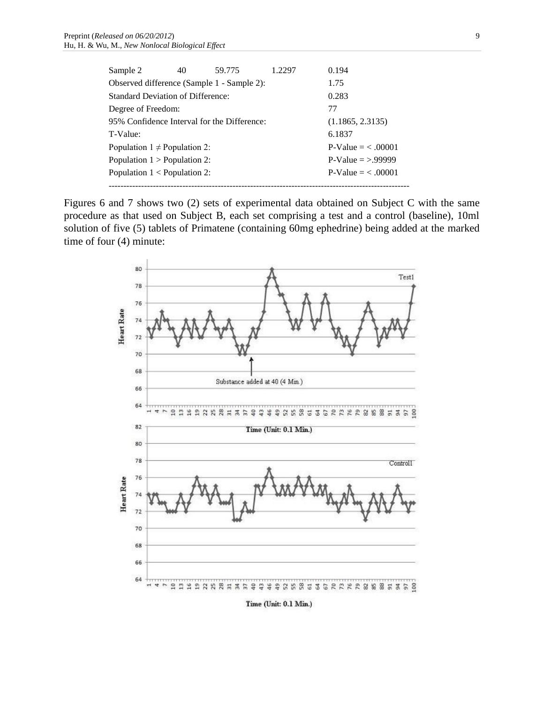| Sample 2                                    | 40 | 59.775           | 1.2297 | 0.194                |
|---------------------------------------------|----|------------------|--------|----------------------|
| Observed difference (Sample 1 - Sample 2):  |    | 1.75             |        |                      |
| <b>Standard Deviation of Difference:</b>    |    | 0.283            |        |                      |
| Degree of Freedom:                          |    |                  |        | 77                   |
| 95% Confidence Interval for the Difference: |    | (1.1865, 2.3135) |        |                      |
| T-Value:                                    |    |                  |        | 6.1837               |
| Population $1 \neq$ Population 2:           |    |                  |        | $P-Value = < .00001$ |
| Population $1 >$ Population 2:              |    |                  |        | P-Value $=$ >.99999  |
| Population $1 <$ Population 2:              |    |                  |        | P-Value $=$ < .00001 |
|                                             |    |                  |        |                      |

Figures 6 and 7 shows two (2) sets of experimental data obtained on Subject C with the same procedure as that used on Subject B, each set comprising a test and a control (baseline), 10ml solution of five (5) tablets of Primatene (containing 60mg ephedrine) being added at the marked time of four (4) minute:



Time (Unit: 0.1 Min.)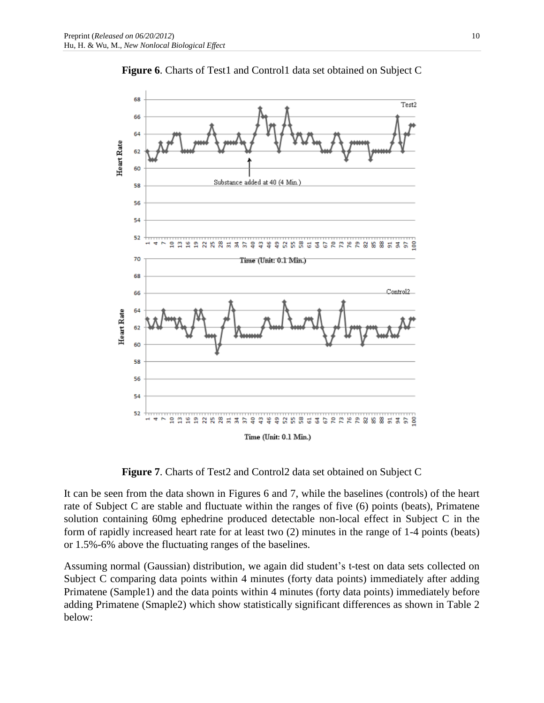

Figure 6. Charts of Test1 and Control1 data set obtained on Subject C

**Figure 7**. Charts of Test2 and Control2 data set obtained on Subject C

It can be seen from the data shown in Figures 6 and 7, while the baselines (controls) of the heart rate of Subject C are stable and fluctuate within the ranges of five (6) points (beats), Primatene solution containing 60mg ephedrine produced detectable non-local effect in Subject C in the form of rapidly increased heart rate for at least two (2) minutes in the range of 1-4 points (beats) or 1.5%-6% above the fluctuating ranges of the baselines.

Assuming normal (Gaussian) distribution, we again did student's t-test on data sets collected on Subject C comparing data points within 4 minutes (forty data points) immediately after adding Primatene (Sample1) and the data points within 4 minutes (forty data points) immediately before adding Primatene (Smaple2) which show statistically significant differences as shown in Table 2 below: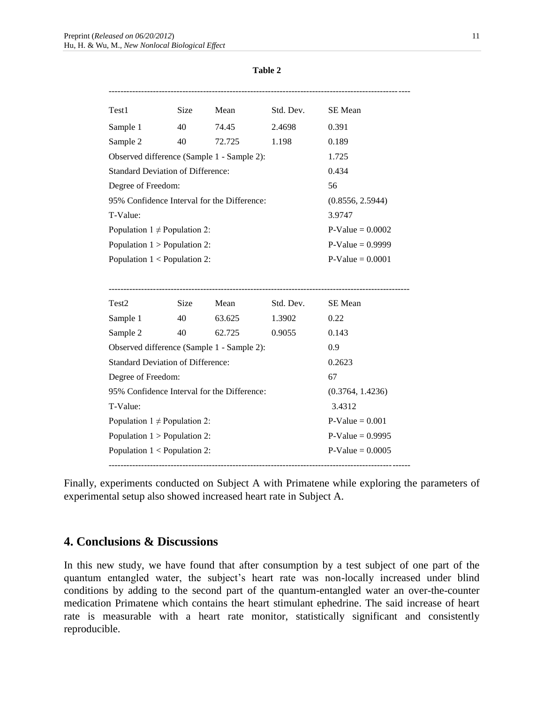| Test1                                       | Size     | Mean             | Std. Dev. | SE Mean            |
|---------------------------------------------|----------|------------------|-----------|--------------------|
| Sample 1                                    | 40 74.45 |                  | 2.4698    | 0.391              |
| Sample 2                                    | 40       | 72.725           | 1.198     | 0.189              |
| Observed difference (Sample 1 - Sample 2):  |          | 1.725            |           |                    |
| <b>Standard Deviation of Difference:</b>    |          | 0.434            |           |                    |
| Degree of Freedom:                          |          | 56               |           |                    |
| 95% Confidence Interval for the Difference: |          | (0.8556, 2.5944) |           |                    |
| T-Value:                                    |          |                  |           | 3.9747             |
| Population $1 \neq$ Population 2:           |          |                  |           | $P-Value = 0.0002$ |
| Population $1 >$ Population 2:              |          |                  |           | $P-Value = 0.9999$ |
| Population $1 <$ Population 2:              |          |                  |           | $P-Value = 0.0001$ |
|                                             |          |                  |           |                    |
|                                             |          |                  |           |                    |
| Test <sub>2</sub>                           | Size     | Mean             | Std. Dev. | SE Mean            |
| Sample 1 40 63.625                          |          |                  | 1.3902    | 0.22               |
| Sample 2                                    | 40 — 10  | 62.725           | 0.9055    | 0.143              |
| Observed difference (Sample 1 - Sample 2):  |          |                  |           | 0.9                |
| <b>Standard Deviation of Difference:</b>    |          |                  |           | 0.2623             |
| Degree of Freedom:                          |          |                  |           | 67                 |
| 95% Confidence Interval for the Difference: |          |                  |           | (0.3764, 1.4236)   |
| T-Value:                                    |          |                  |           | 3.4312             |
| Population $1 \neq$ Population 2:           |          |                  |           | $P-Value = 0.001$  |
| Population $1$ > Population 2:              |          |                  |           | $P-Value = 0.9995$ |
| Population $1 <$ Population 2:              |          |                  |           | $P-Value = 0.0005$ |

#### **Table 2**

Finally, experiments conducted on Subject A with Primatene while exploring the parameters of experimental setup also showed increased heart rate in Subject A.

#### **4. Conclusions & Discussions**

In this new study, we have found that after consumption by a test subject of one part of the quantum entangled water, the subject's heart rate was non-locally increased under blind conditions by adding to the second part of the quantum-entangled water an over-the-counter medication Primatene which contains the heart stimulant ephedrine. The said increase of heart rate is measurable with a heart rate monitor, statistically significant and consistently reproducible.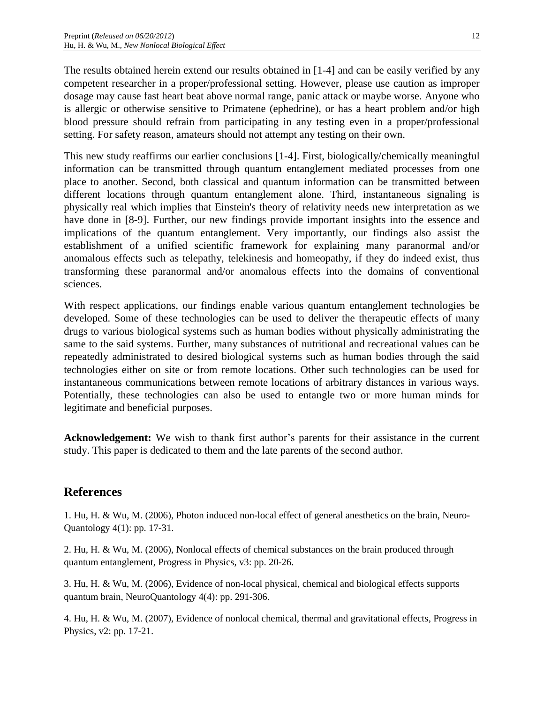The results obtained herein extend our results obtained in [1-4] and can be easily verified by any competent researcher in a proper/professional setting. However, please use caution as improper dosage may cause fast heart beat above normal range, panic attack or maybe worse. Anyone who is allergic or otherwise sensitive to Primatene (ephedrine), or has a heart problem and/or high blood pressure should refrain from participating in any testing even in a proper/professional setting. For safety reason, amateurs should not attempt any testing on their own.

This new study reaffirms our earlier conclusions [1-4]. First, biologically/chemically meaningful information can be transmitted through quantum entanglement mediated processes from one place to another. Second, both classical and quantum information can be transmitted between different locations through quantum entanglement alone. Third, instantaneous signaling is physically real which implies that Einstein's theory of relativity needs new interpretation as we have done in [8-9]. Further, our new findings provide important insights into the essence and implications of the quantum entanglement. Very importantly, our findings also assist the establishment of a unified scientific framework for explaining many paranormal and/or anomalous effects such as telepathy, telekinesis and homeopathy, if they do indeed exist, thus transforming these paranormal and/or anomalous effects into the domains of conventional sciences.

With respect applications, our findings enable various quantum entanglement technologies be developed. Some of these technologies can be used to deliver the therapeutic effects of many drugs to various biological systems such as human bodies without physically administrating the same to the said systems. Further, many substances of nutritional and recreational values can be repeatedly administrated to desired biological systems such as human bodies through the said technologies either on site or from remote locations. Other such technologies can be used for instantaneous communications between remote locations of arbitrary distances in various ways. Potentially, these technologies can also be used to entangle two or more human minds for legitimate and beneficial purposes.

**Acknowledgement:** We wish to thank first author's parents for their assistance in the current study. This paper is dedicated to them and the late parents of the second author.

## **References**

1. Hu, H. & Wu, M. (2006), Photon induced non-local effect of general anesthetics on the brain, Neuro-Quantology 4(1): pp. 17-31.

2. Hu, H. & Wu, M. (2006), Nonlocal effects of chemical substances on the brain produced through quantum entanglement, Progress in Physics, v3: pp. 20-26.

3. Hu, H. & Wu, M. (2006), Evidence of non-local physical, chemical and biological effects supports quantum brain, NeuroQuantology 4(4): pp. 291-306.

4. Hu, H. & Wu, M. (2007), Evidence of nonlocal chemical, thermal and gravitational effects, Progress in Physics, v2: pp. 17-21.